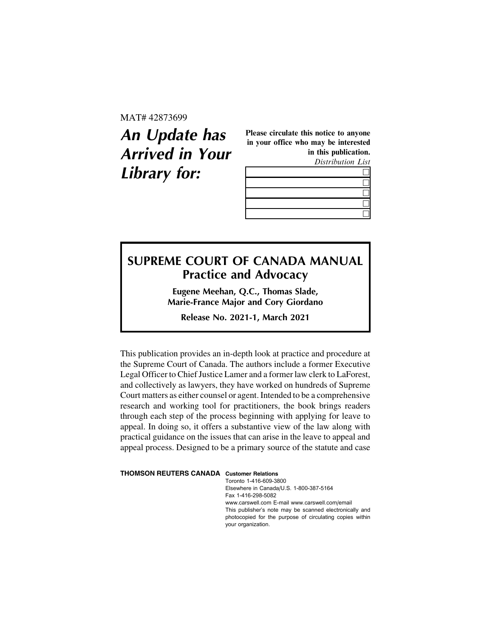MAT# 42873699

# **An Update has Arrived in Your Library for:**

Please circulate this notice to anyone in your office who may be interested in this publication.

Distribution List

# **SUPREME COURT OF CANADA MANUAL Practice and Advocacy**

**Eugene Meehan, Q.C., Thomas Slade, Marie-France Major and Cory Giordano**

**Release No. 2021-1, March 2021**

This publication provides an in-depth look at practice and procedure at the Supreme Court of Canada. The authors include a former Executive Legal Officer to Chief Justice Lamer and a former law clerk to LaForest, and collectively as lawyers, they have worked on hundreds of Supreme Court matters as either counsel or agent. Intended to be a comprehensive research and working tool for practitioners, the book brings readers through each step of the process beginning with applying for leave to appeal. In doing so, it offers a substantive view of the law along with practical guidance on the issues that can arise in the leave to appeal and appeal process. Designed to be a primary source of the statute and case

#### **THOMSON REUTERS CANADA Customer Relations**

Toronto 1-416-609-3800 Elsewhere in Canada/U.S. 1-800-387-5164 Fax 1-416-298-5082 www.carswell.com E-mail www.carswell.com/email This publisher's note may be scanned electronically and photocopied for the purpose of circulating copies within your organization.